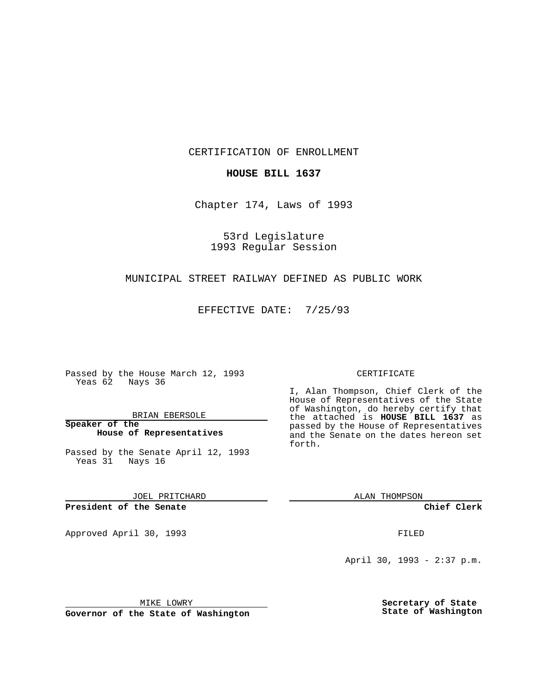CERTIFICATION OF ENROLLMENT

## **HOUSE BILL 1637**

Chapter 174, Laws of 1993

53rd Legislature 1993 Regular Session

### MUNICIPAL STREET RAILWAY DEFINED AS PUBLIC WORK

EFFECTIVE DATE: 7/25/93

Passed by the House March 12, 1993 Yeas 62 Nays 36

BRIAN EBERSOLE

**Speaker of the House of Representatives**

Passed by the Senate April 12, 1993 Yeas 31 Nays 16

JOEL PRITCHARD

## **President of the Senate**

Approved April 30, 1993 **FILED** 

#### CERTIFICATE

I, Alan Thompson, Chief Clerk of the House of Representatives of the State of Washington, do hereby certify that the attached is **HOUSE BILL 1637** as passed by the House of Representatives and the Senate on the dates hereon set forth.

ALAN THOMPSON

**Chief Clerk**

April 30, 1993 - 2:37 p.m.

MIKE LOWRY

**Governor of the State of Washington**

**Secretary of State State of Washington**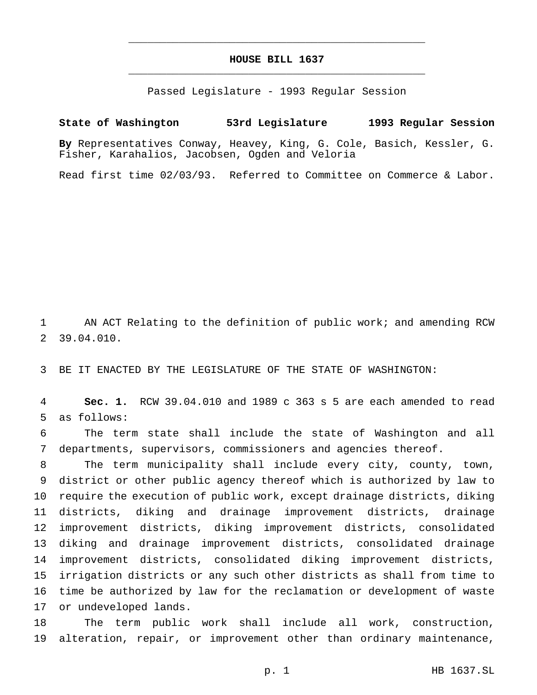## **HOUSE BILL 1637** \_\_\_\_\_\_\_\_\_\_\_\_\_\_\_\_\_\_\_\_\_\_\_\_\_\_\_\_\_\_\_\_\_\_\_\_\_\_\_\_\_\_\_\_\_\_\_

\_\_\_\_\_\_\_\_\_\_\_\_\_\_\_\_\_\_\_\_\_\_\_\_\_\_\_\_\_\_\_\_\_\_\_\_\_\_\_\_\_\_\_\_\_\_\_

Passed Legislature - 1993 Regular Session

# **State of Washington 53rd Legislature 1993 Regular Session By** Representatives Conway, Heavey, King, G. Cole, Basich, Kessler, G. Fisher, Karahalios, Jacobsen, Ogden and Veloria

Read first time 02/03/93. Referred to Committee on Commerce & Labor.

 AN ACT Relating to the definition of public work; and amending RCW 39.04.010.

BE IT ENACTED BY THE LEGISLATURE OF THE STATE OF WASHINGTON:

 **Sec. 1.** RCW 39.04.010 and 1989 c 363 s 5 are each amended to read as follows:

 The term state shall include the state of Washington and all departments, supervisors, commissioners and agencies thereof.

 The term municipality shall include every city, county, town, district or other public agency thereof which is authorized by law to require the execution of public work, except drainage districts, diking districts, diking and drainage improvement districts, drainage improvement districts, diking improvement districts, consolidated diking and drainage improvement districts, consolidated drainage improvement districts, consolidated diking improvement districts, irrigation districts or any such other districts as shall from time to time be authorized by law for the reclamation or development of waste or undeveloped lands.

 The term public work shall include all work, construction, alteration, repair, or improvement other than ordinary maintenance,